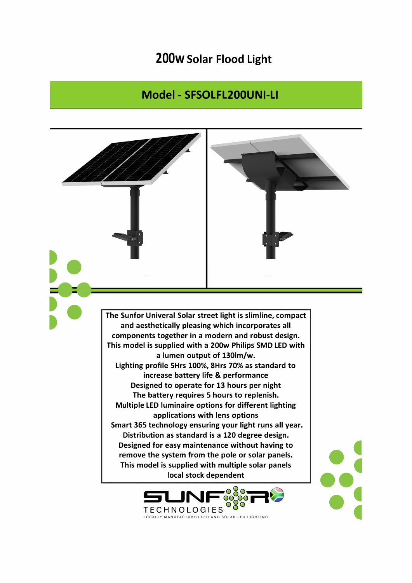## **200w Solar Flood Light**

## **Model - SFSOLFL200UNI-LI**